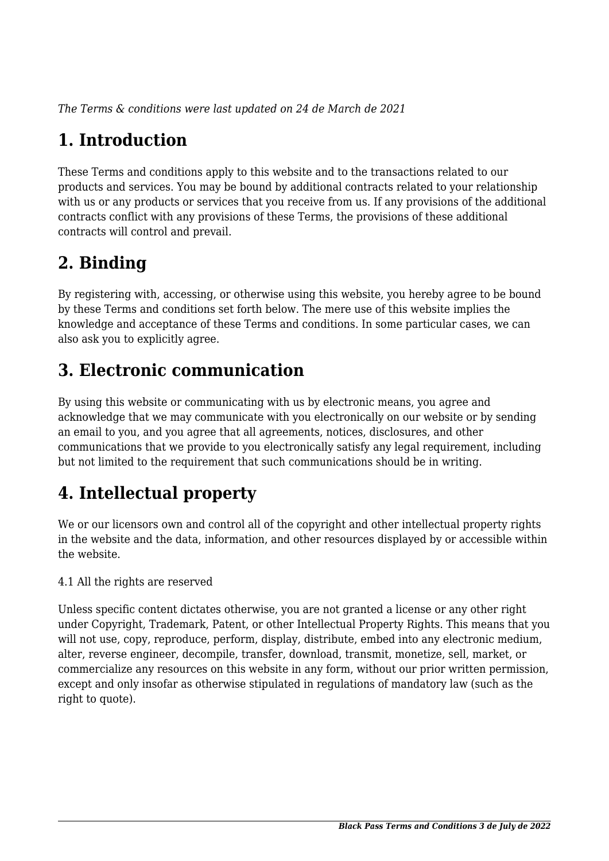*The Terms & conditions were last updated on 24 de March de 2021*

# **1. Introduction**

These Terms and conditions apply to this website and to the transactions related to our products and services. You may be bound by additional contracts related to your relationship with us or any products or services that you receive from us. If any provisions of the additional contracts conflict with any provisions of these Terms, the provisions of these additional contracts will control and prevail.

# **2. Binding**

By registering with, accessing, or otherwise using this website, you hereby agree to be bound by these Terms and conditions set forth below. The mere use of this website implies the knowledge and acceptance of these Terms and conditions. In some particular cases, we can also ask you to explicitly agree.

# **3. Electronic communication**

By using this website or communicating with us by electronic means, you agree and acknowledge that we may communicate with you electronically on our website or by sending an email to you, and you agree that all agreements, notices, disclosures, and other communications that we provide to you electronically satisfy any legal requirement, including but not limited to the requirement that such communications should be in writing.

# **4. Intellectual property**

We or our licensors own and control all of the copyright and other intellectual property rights in the website and the data, information, and other resources displayed by or accessible within the website.

4.1 All the rights are reserved

Unless specific content dictates otherwise, you are not granted a license or any other right under Copyright, Trademark, Patent, or other Intellectual Property Rights. This means that you will not use, copy, reproduce, perform, display, distribute, embed into any electronic medium, alter, reverse engineer, decompile, transfer, download, transmit, monetize, sell, market, or commercialize any resources on this website in any form, without our prior written permission, except and only insofar as otherwise stipulated in regulations of mandatory law (such as the right to quote).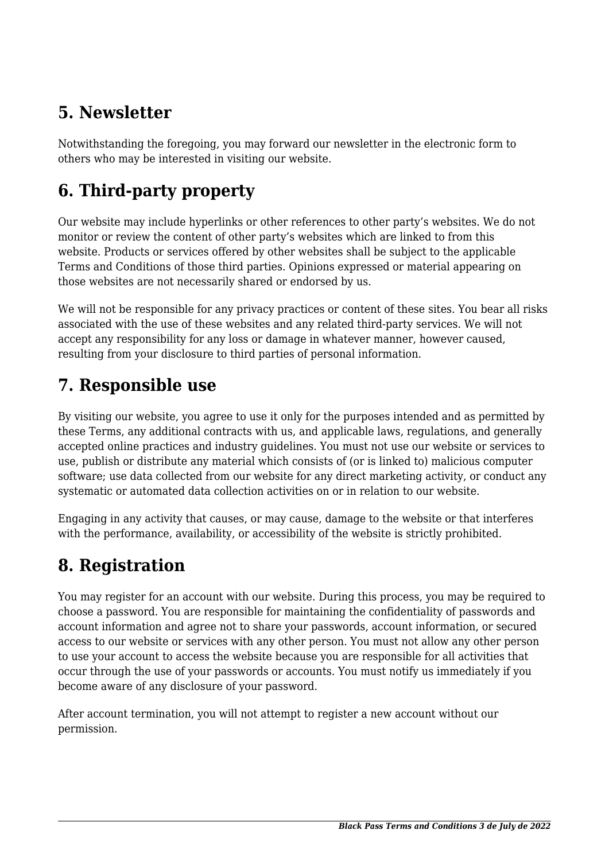# **5. Newsletter**

Notwithstanding the foregoing, you may forward our newsletter in the electronic form to others who may be interested in visiting our website.

# **6. Third-party property**

Our website may include hyperlinks or other references to other party's websites. We do not monitor or review the content of other party's websites which are linked to from this website. Products or services offered by other websites shall be subject to the applicable Terms and Conditions of those third parties. Opinions expressed or material appearing on those websites are not necessarily shared or endorsed by us.

We will not be responsible for any privacy practices or content of these sites. You bear all risks associated with the use of these websites and any related third-party services. We will not accept any responsibility for any loss or damage in whatever manner, however caused, resulting from your disclosure to third parties of personal information.

#### **7. Responsible use**

By visiting our website, you agree to use it only for the purposes intended and as permitted by these Terms, any additional contracts with us, and applicable laws, regulations, and generally accepted online practices and industry guidelines. You must not use our website or services to use, publish or distribute any material which consists of (or is linked to) malicious computer software; use data collected from our website for any direct marketing activity, or conduct any systematic or automated data collection activities on or in relation to our website.

Engaging in any activity that causes, or may cause, damage to the website or that interferes with the performance, availability, or accessibility of the website is strictly prohibited.

# **8. Registration**

You may register for an account with our website. During this process, you may be required to choose a password. You are responsible for maintaining the confidentiality of passwords and account information and agree not to share your passwords, account information, or secured access to our website or services with any other person. You must not allow any other person to use your account to access the website because you are responsible for all activities that occur through the use of your passwords or accounts. You must notify us immediately if you become aware of any disclosure of your password.

After account termination, you will not attempt to register a new account without our permission.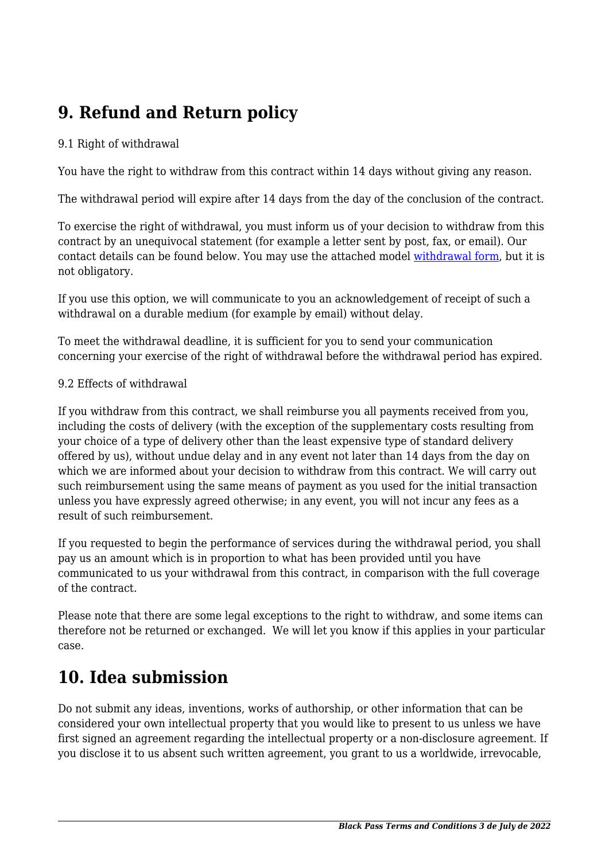# **9. Refund and Return policy**

#### 9.1 Right of withdrawal

You have the right to withdraw from this contract within 14 days without giving any reason.

The withdrawal period will expire after 14 days from the day of the conclusion of the contract.

To exercise the right of withdrawal, you must inform us of your decision to withdraw from this contract by an unequivocal statement (for example a letter sent by post, fax, or email). Our contact details can be found below. You may use the attached model [withdrawal form](https://blackpass.pe/wp-content/uploads/complianz/withdrawal-forms/withdrawal-form-en.pdf), but it is not obligatory.

If you use this option, we will communicate to you an acknowledgement of receipt of such a withdrawal on a durable medium (for example by email) without delay.

To meet the withdrawal deadline, it is sufficient for you to send your communication concerning your exercise of the right of withdrawal before the withdrawal period has expired.

#### 9.2 Effects of withdrawal

If you withdraw from this contract, we shall reimburse you all payments received from you, including the costs of delivery (with the exception of the supplementary costs resulting from your choice of a type of delivery other than the least expensive type of standard delivery offered by us), without undue delay and in any event not later than 14 days from the day on which we are informed about your decision to withdraw from this contract. We will carry out such reimbursement using the same means of payment as you used for the initial transaction unless you have expressly agreed otherwise; in any event, you will not incur any fees as a result of such reimbursement.

If you requested to begin the performance of services during the withdrawal period, you shall pay us an amount which is in proportion to what has been provided until you have communicated to us your withdrawal from this contract, in comparison with the full coverage of the contract.

Please note that there are some legal exceptions to the right to withdraw, and some items can therefore not be returned or exchanged. We will let you know if this applies in your particular case.

#### **10. Idea submission**

Do not submit any ideas, inventions, works of authorship, or other information that can be considered your own intellectual property that you would like to present to us unless we have first signed an agreement regarding the intellectual property or a non-disclosure agreement. If you disclose it to us absent such written agreement, you grant to us a worldwide, irrevocable,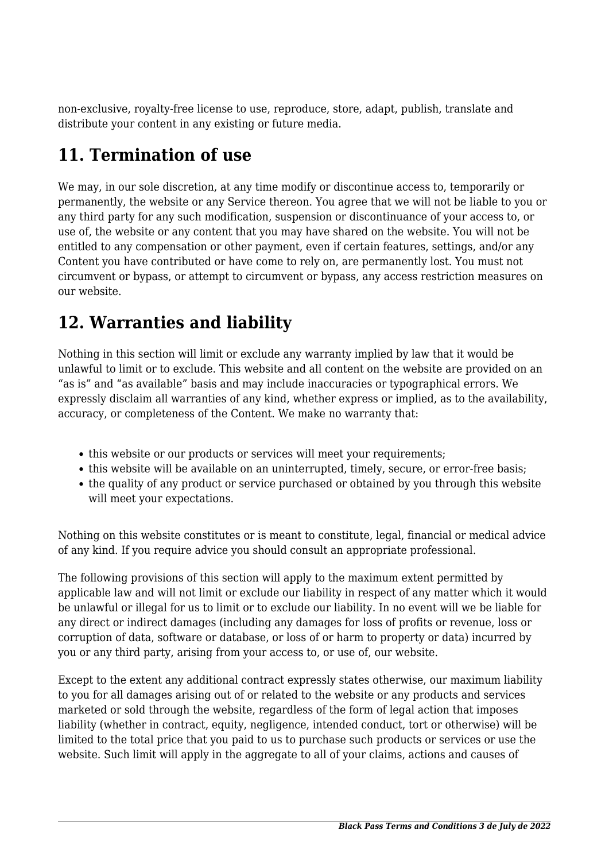non-exclusive, royalty-free license to use, reproduce, store, adapt, publish, translate and distribute your content in any existing or future media.

## **11. Termination of use**

We may, in our sole discretion, at any time modify or discontinue access to, temporarily or permanently, the website or any Service thereon. You agree that we will not be liable to you or any third party for any such modification, suspension or discontinuance of your access to, or use of, the website or any content that you may have shared on the website. You will not be entitled to any compensation or other payment, even if certain features, settings, and/or any Content you have contributed or have come to rely on, are permanently lost. You must not circumvent or bypass, or attempt to circumvent or bypass, any access restriction measures on our website.

## **12. Warranties and liability**

Nothing in this section will limit or exclude any warranty implied by law that it would be unlawful to limit or to exclude. This website and all content on the website are provided on an "as is" and "as available" basis and may include inaccuracies or typographical errors. We expressly disclaim all warranties of any kind, whether express or implied, as to the availability, accuracy, or completeness of the Content. We make no warranty that:

- this website or our products or services will meet your requirements;
- this website will be available on an uninterrupted, timely, secure, or error-free basis;
- the quality of any product or service purchased or obtained by you through this website will meet your expectations.

Nothing on this website constitutes or is meant to constitute, legal, financial or medical advice of any kind. If you require advice you should consult an appropriate professional.

The following provisions of this section will apply to the maximum extent permitted by applicable law and will not limit or exclude our liability in respect of any matter which it would be unlawful or illegal for us to limit or to exclude our liability. In no event will we be liable for any direct or indirect damages (including any damages for loss of profits or revenue, loss or corruption of data, software or database, or loss of or harm to property or data) incurred by you or any third party, arising from your access to, or use of, our website.

Except to the extent any additional contract expressly states otherwise, our maximum liability to you for all damages arising out of or related to the website or any products and services marketed or sold through the website, regardless of the form of legal action that imposes liability (whether in contract, equity, negligence, intended conduct, tort or otherwise) will be limited to the total price that you paid to us to purchase such products or services or use the website. Such limit will apply in the aggregate to all of your claims, actions and causes of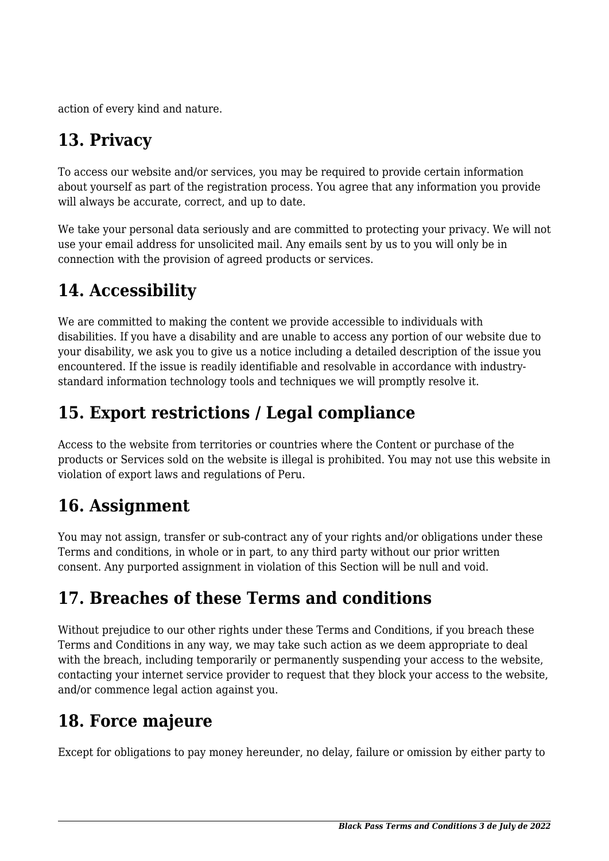action of every kind and nature.

# **13. Privacy**

To access our website and/or services, you may be required to provide certain information about yourself as part of the registration process. You agree that any information you provide will always be accurate, correct, and up to date.

We take your personal data seriously and are committed to protecting your privacy. We will not use your email address for unsolicited mail. Any emails sent by us to you will only be in connection with the provision of agreed products or services.

## **14. Accessibility**

We are committed to making the content we provide accessible to individuals with disabilities. If you have a disability and are unable to access any portion of our website due to your disability, we ask you to give us a notice including a detailed description of the issue you encountered. If the issue is readily identifiable and resolvable in accordance with industrystandard information technology tools and techniques we will promptly resolve it.

# **15. Export restrictions / Legal compliance**

Access to the website from territories or countries where the Content or purchase of the products or Services sold on the website is illegal is prohibited. You may not use this website in violation of export laws and regulations of Peru.

#### **16. Assignment**

You may not assign, transfer or sub-contract any of your rights and/or obligations under these Terms and conditions, in whole or in part, to any third party without our prior written consent. Any purported assignment in violation of this Section will be null and void.

# **17. Breaches of these Terms and conditions**

Without prejudice to our other rights under these Terms and Conditions, if you breach these Terms and Conditions in any way, we may take such action as we deem appropriate to deal with the breach, including temporarily or permanently suspending your access to the website, contacting your internet service provider to request that they block your access to the website, and/or commence legal action against you.

#### **18. Force majeure**

Except for obligations to pay money hereunder, no delay, failure or omission by either party to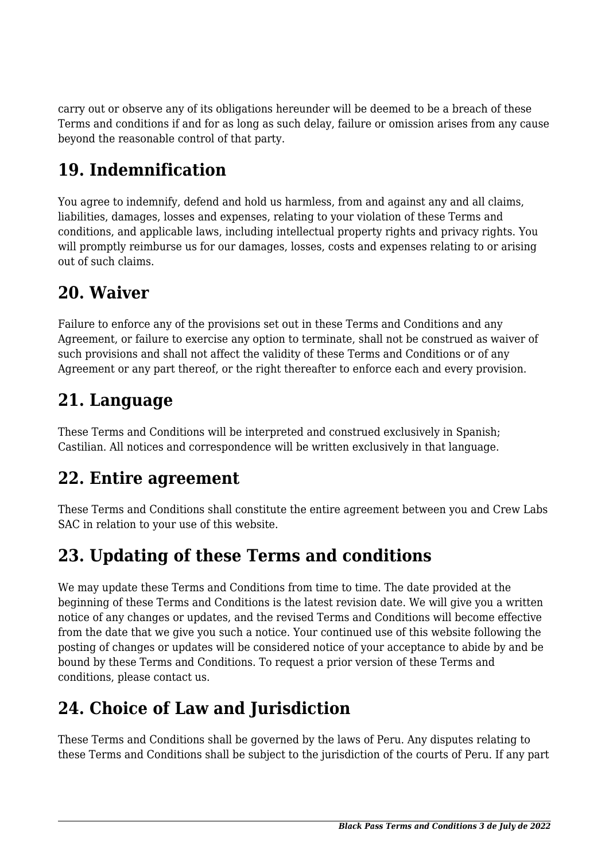carry out or observe any of its obligations hereunder will be deemed to be a breach of these Terms and conditions if and for as long as such delay, failure or omission arises from any cause beyond the reasonable control of that party.

# **19. Indemnification**

You agree to indemnify, defend and hold us harmless, from and against any and all claims, liabilities, damages, losses and expenses, relating to your violation of these Terms and conditions, and applicable laws, including intellectual property rights and privacy rights. You will promptly reimburse us for our damages, losses, costs and expenses relating to or arising out of such claims.

## **20. Waiver**

Failure to enforce any of the provisions set out in these Terms and Conditions and any Agreement, or failure to exercise any option to terminate, shall not be construed as waiver of such provisions and shall not affect the validity of these Terms and Conditions or of any Agreement or any part thereof, or the right thereafter to enforce each and every provision.

## **21. Language**

These Terms and Conditions will be interpreted and construed exclusively in Spanish; Castilian. All notices and correspondence will be written exclusively in that language.

#### **22. Entire agreement**

These Terms and Conditions shall constitute the entire agreement between you and Crew Labs SAC in relation to your use of this website.

#### **23. Updating of these Terms and conditions**

We may update these Terms and Conditions from time to time. The date provided at the beginning of these Terms and Conditions is the latest revision date. We will give you a written notice of any changes or updates, and the revised Terms and Conditions will become effective from the date that we give you such a notice. Your continued use of this website following the posting of changes or updates will be considered notice of your acceptance to abide by and be bound by these Terms and Conditions. To request a prior version of these Terms and conditions, please contact us.

# **24. Choice of Law and Jurisdiction**

These Terms and Conditions shall be governed by the laws of Peru. Any disputes relating to these Terms and Conditions shall be subject to the jurisdiction of the courts of Peru. If any part